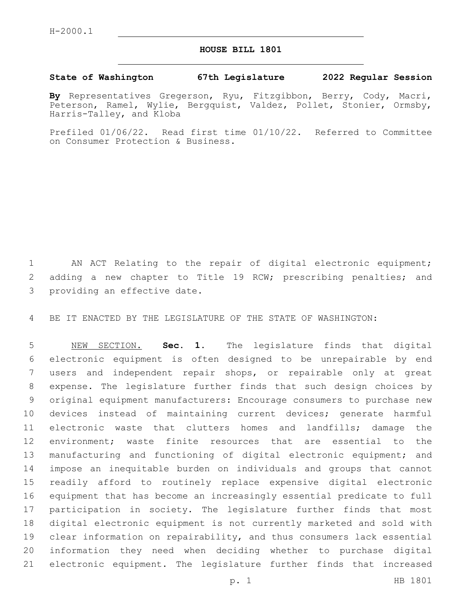## **HOUSE BILL 1801**

## **State of Washington 67th Legislature 2022 Regular Session**

**By** Representatives Gregerson, Ryu, Fitzgibbon, Berry, Cody, Macri, Peterson, Ramel, Wylie, Bergquist, Valdez, Pollet, Stonier, Ormsby, Harris-Talley, and Kloba

Prefiled 01/06/22. Read first time 01/10/22. Referred to Committee on Consumer Protection & Business.

 AN ACT Relating to the repair of digital electronic equipment; adding a new chapter to Title 19 RCW; prescribing penalties; and 3 providing an effective date.

BE IT ENACTED BY THE LEGISLATURE OF THE STATE OF WASHINGTON:

 NEW SECTION. **Sec. 1.** The legislature finds that digital electronic equipment is often designed to be unrepairable by end users and independent repair shops, or repairable only at great expense. The legislature further finds that such design choices by original equipment manufacturers: Encourage consumers to purchase new devices instead of maintaining current devices; generate harmful electronic waste that clutters homes and landfills; damage the environment; waste finite resources that are essential to the manufacturing and functioning of digital electronic equipment; and impose an inequitable burden on individuals and groups that cannot readily afford to routinely replace expensive digital electronic equipment that has become an increasingly essential predicate to full participation in society. The legislature further finds that most digital electronic equipment is not currently marketed and sold with clear information on repairability, and thus consumers lack essential information they need when deciding whether to purchase digital electronic equipment. The legislature further finds that increased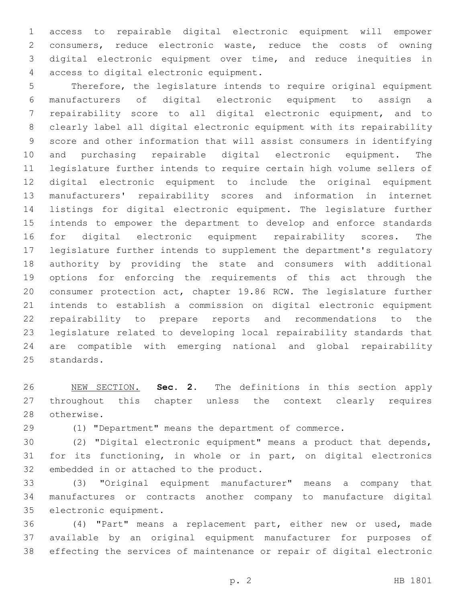access to repairable digital electronic equipment will empower consumers, reduce electronic waste, reduce the costs of owning digital electronic equipment over time, and reduce inequities in access to digital electronic equipment.4

 Therefore, the legislature intends to require original equipment manufacturers of digital electronic equipment to assign a repairability score to all digital electronic equipment, and to clearly label all digital electronic equipment with its repairability score and other information that will assist consumers in identifying and purchasing repairable digital electronic equipment. The legislature further intends to require certain high volume sellers of digital electronic equipment to include the original equipment manufacturers' repairability scores and information in internet listings for digital electronic equipment. The legislature further intends to empower the department to develop and enforce standards for digital electronic equipment repairability scores. The legislature further intends to supplement the department's regulatory authority by providing the state and consumers with additional options for enforcing the requirements of this act through the consumer protection act, chapter 19.86 RCW. The legislature further intends to establish a commission on digital electronic equipment repairability to prepare reports and recommendations to the legislature related to developing local repairability standards that are compatible with emerging national and global repairability 25 standards.

 NEW SECTION. **Sec. 2.** The definitions in this section apply throughout this chapter unless the context clearly requires otherwise.

(1) "Department" means the department of commerce.

 (2) "Digital electronic equipment" means a product that depends, for its functioning, in whole or in part, on digital electronics 32 embedded in or attached to the product.

 (3) "Original equipment manufacturer" means a company that manufactures or contracts another company to manufacture digital 35 electronic equipment.

 (4) "Part" means a replacement part, either new or used, made available by an original equipment manufacturer for purposes of effecting the services of maintenance or repair of digital electronic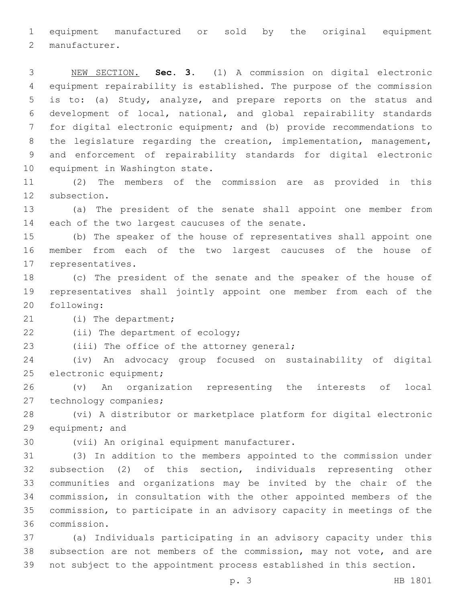equipment manufactured or sold by the original equipment 2 manufacturer.

 NEW SECTION. **Sec. 3.** (1) A commission on digital electronic equipment repairability is established. The purpose of the commission is to: (a) Study, analyze, and prepare reports on the status and development of local, national, and global repairability standards for digital electronic equipment; and (b) provide recommendations to the legislature regarding the creation, implementation, management, and enforcement of repairability standards for digital electronic equipment in Washington state.

 (2) The members of the commission are as provided in this 12 subsection.

 (a) The president of the senate shall appoint one member from 14 each of the two largest caucuses of the senate.

 (b) The speaker of the house of representatives shall appoint one member from each of the two largest caucuses of the house of 17 representatives.

 (c) The president of the senate and the speaker of the house of representatives shall jointly appoint one member from each of the 20 following:

21 (i) The department;

22 (ii) The department of ecology;

23 (iii) The office of the attorney general;

 (iv) An advocacy group focused on sustainability of digital 25 electronic equipment;

 (v) An organization representing the interests of local 27 technology companies;

 (vi) A distributor or marketplace platform for digital electronic 29 equipment; and

30 (vii) An original equipment manufacturer.

 (3) In addition to the members appointed to the commission under subsection (2) of this section, individuals representing other communities and organizations may be invited by the chair of the commission, in consultation with the other appointed members of the commission, to participate in an advisory capacity in meetings of the commission.36

 (a) Individuals participating in an advisory capacity under this subsection are not members of the commission, may not vote, and are not subject to the appointment process established in this section.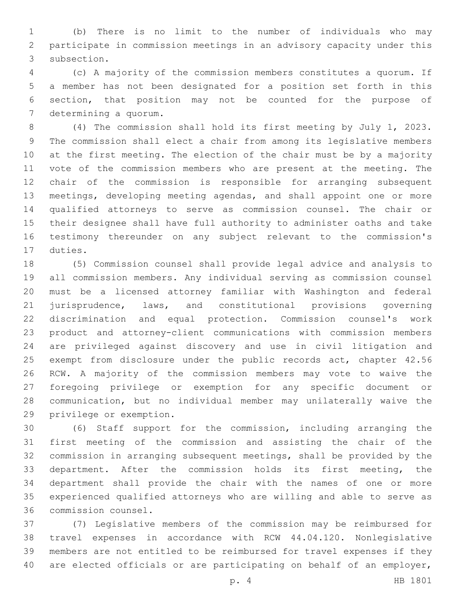(b) There is no limit to the number of individuals who may participate in commission meetings in an advisory capacity under this 3 subsection.

 (c) A majority of the commission members constitutes a quorum. If a member has not been designated for a position set forth in this section, that position may not be counted for the purpose of 7 determining a quorum.

 (4) The commission shall hold its first meeting by July 1, 2023. The commission shall elect a chair from among its legislative members at the first meeting. The election of the chair must be by a majority vote of the commission members who are present at the meeting. The chair of the commission is responsible for arranging subsequent meetings, developing meeting agendas, and shall appoint one or more qualified attorneys to serve as commission counsel. The chair or their designee shall have full authority to administer oaths and take testimony thereunder on any subject relevant to the commission's 17 duties.

 (5) Commission counsel shall provide legal advice and analysis to all commission members. Any individual serving as commission counsel must be a licensed attorney familiar with Washington and federal jurisprudence, laws, and constitutional provisions governing discrimination and equal protection. Commission counsel's work product and attorney-client communications with commission members are privileged against discovery and use in civil litigation and exempt from disclosure under the public records act, chapter 42.56 RCW. A majority of the commission members may vote to waive the foregoing privilege or exemption for any specific document or communication, but no individual member may unilaterally waive the 29 privilege or exemption.

 (6) Staff support for the commission, including arranging the first meeting of the commission and assisting the chair of the commission in arranging subsequent meetings, shall be provided by the department. After the commission holds its first meeting, the department shall provide the chair with the names of one or more experienced qualified attorneys who are willing and able to serve as commission counsel.36

 (7) Legislative members of the commission may be reimbursed for travel expenses in accordance with RCW 44.04.120. Nonlegislative members are not entitled to be reimbursed for travel expenses if they are elected officials or are participating on behalf of an employer,

p. 4 HB 1801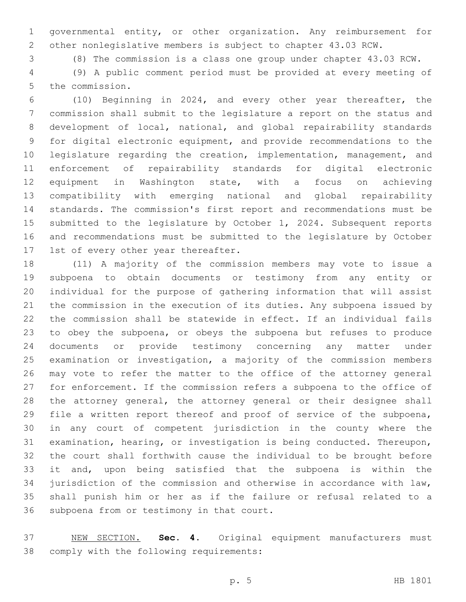governmental entity, or other organization. Any reimbursement for other nonlegislative members is subject to chapter 43.03 RCW.

(8) The commission is a class one group under chapter 43.03 RCW.

 (9) A public comment period must be provided at every meeting of 5 the commission.

 (10) Beginning in 2024, and every other year thereafter, the commission shall submit to the legislature a report on the status and development of local, national, and global repairability standards for digital electronic equipment, and provide recommendations to the legislature regarding the creation, implementation, management, and enforcement of repairability standards for digital electronic equipment in Washington state, with a focus on achieving compatibility with emerging national and global repairability standards. The commission's first report and recommendations must be submitted to the legislature by October 1, 2024. Subsequent reports and recommendations must be submitted to the legislature by October 17 1st of every other year thereafter.

 (11) A majority of the commission members may vote to issue a subpoena to obtain documents or testimony from any entity or individual for the purpose of gathering information that will assist the commission in the execution of its duties. Any subpoena issued by the commission shall be statewide in effect. If an individual fails to obey the subpoena, or obeys the subpoena but refuses to produce documents or provide testimony concerning any matter under examination or investigation, a majority of the commission members may vote to refer the matter to the office of the attorney general for enforcement. If the commission refers a subpoena to the office of the attorney general, the attorney general or their designee shall file a written report thereof and proof of service of the subpoena, in any court of competent jurisdiction in the county where the examination, hearing, or investigation is being conducted. Thereupon, the court shall forthwith cause the individual to be brought before it and, upon being satisfied that the subpoena is within the jurisdiction of the commission and otherwise in accordance with law, shall punish him or her as if the failure or refusal related to a 36 subpoena from or testimony in that court.

 NEW SECTION. **Sec. 4.** Original equipment manufacturers must comply with the following requirements: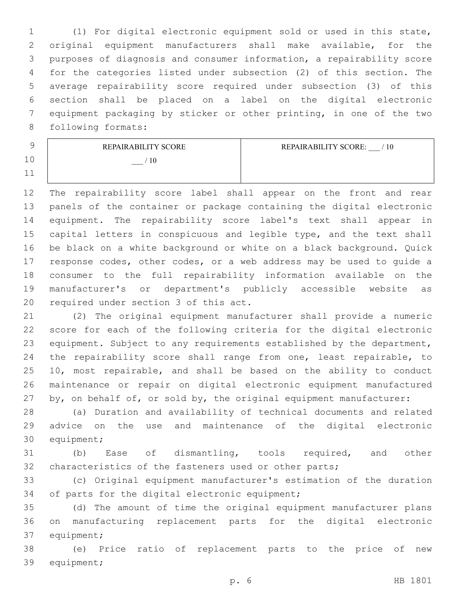(1) For digital electronic equipment sold or used in this state, original equipment manufacturers shall make available, for the purposes of diagnosis and consumer information, a repairability score for the categories listed under subsection (2) of this section. The average repairability score required under subsection (3) of this section shall be placed on a label on the digital electronic equipment packaging by sticker or other printing, in one of the two 8 following formats:

|                | REPAIRABILITY SCORE | REPAIRABILITY SCORE:<br>$^{\prime}$ 10 |
|----------------|---------------------|----------------------------------------|
| 1 <sub>0</sub> |                     |                                        |
| $\sim$         |                     |                                        |

 The repairability score label shall appear on the front and rear panels of the container or package containing the digital electronic equipment. The repairability score label's text shall appear in capital letters in conspicuous and legible type, and the text shall be black on a white background or white on a black background. Quick response codes, other codes, or a web address may be used to guide a consumer to the full repairability information available on the manufacturer's or department's publicly accessible website as 20 required under section 3 of this act.

 (2) The original equipment manufacturer shall provide a numeric score for each of the following criteria for the digital electronic equipment. Subject to any requirements established by the department, the repairability score shall range from one, least repairable, to 10, most repairable, and shall be based on the ability to conduct maintenance or repair on digital electronic equipment manufactured 27 by, on behalf of, or sold by, the original equipment manufacturer:

 (a) Duration and availability of technical documents and related advice on the use and maintenance of the digital electronic 30 equipment;

 (b) Ease of dismantling, tools required, and other characteristics of the fasteners used or other parts;

 (c) Original equipment manufacturer's estimation of the duration 34 of parts for the digital electronic equipment;

 (d) The amount of time the original equipment manufacturer plans on manufacturing replacement parts for the digital electronic 37 equipment;

 (e) Price ratio of replacement parts to the price of new 39 equipment;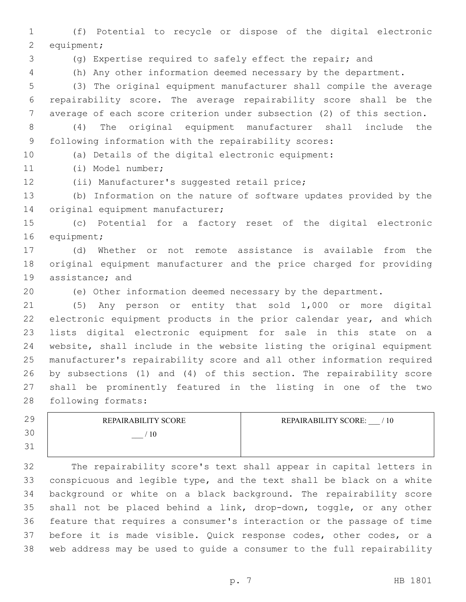(f) Potential to recycle or dispose of the digital electronic 2 equipment;

(g) Expertise required to safely effect the repair; and

(h) Any other information deemed necessary by the department.

 (3) The original equipment manufacturer shall compile the average repairability score. The average repairability score shall be the average of each score criterion under subsection (2) of this section.

 (4) The original equipment manufacturer shall include the following information with the repairability scores:

(a) Details of the digital electronic equipment:

(i) Model number;11

12 (ii) Manufacturer's suggested retail price;

 (b) Information on the nature of software updates provided by the 14 original equipment manufacturer;

 (c) Potential for a factory reset of the digital electronic 16 equipment;

 (d) Whether or not remote assistance is available from the original equipment manufacturer and the price charged for providing 19 assistance; and

(e) Other information deemed necessary by the department.

 (5) Any person or entity that sold 1,000 or more digital electronic equipment products in the prior calendar year, and which lists digital electronic equipment for sale in this state on a website, shall include in the website listing the original equipment manufacturer's repairability score and all other information required by subsections (1) and (4) of this section. The repairability score shall be prominently featured in the listing in one of the two 28 following formats:

| 29                    | REPAIR ABILITY SCORE | REPAIRABILITY SCORE:<br>/10 |
|-----------------------|----------------------|-----------------------------|
| 30                    | 10                   |                             |
| $\overline{2}1$<br>◡⊥ |                      |                             |

 The repairability score's text shall appear in capital letters in conspicuous and legible type, and the text shall be black on a white background or white on a black background. The repairability score shall not be placed behind a link, drop-down, toggle, or any other feature that requires a consumer's interaction or the passage of time before it is made visible. Quick response codes, other codes, or a web address may be used to guide a consumer to the full repairability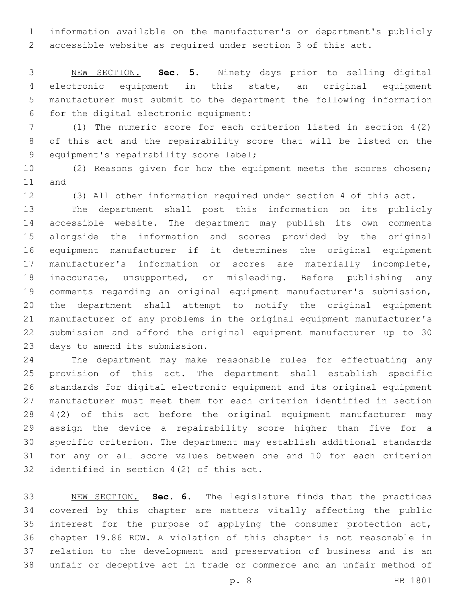information available on the manufacturer's or department's publicly accessible website as required under section 3 of this act.

 NEW SECTION. **Sec. 5.** Ninety days prior to selling digital electronic equipment in this state, an original equipment manufacturer must submit to the department the following information for the digital electronic equipment:

 (1) The numeric score for each criterion listed in section 4(2) of this act and the repairability score that will be listed on the 9 equipment's repairability score label;

 (2) Reasons given for how the equipment meets the scores chosen; 11 and

(3) All other information required under section 4 of this act.

 The department shall post this information on its publicly accessible website. The department may publish its own comments alongside the information and scores provided by the original equipment manufacturer if it determines the original equipment manufacturer's information or scores are materially incomplete, inaccurate, unsupported, or misleading. Before publishing any comments regarding an original equipment manufacturer's submission, the department shall attempt to notify the original equipment manufacturer of any problems in the original equipment manufacturer's submission and afford the original equipment manufacturer up to 30 23 days to amend its submission.

 The department may make reasonable rules for effectuating any provision of this act. The department shall establish specific standards for digital electronic equipment and its original equipment manufacturer must meet them for each criterion identified in section 4(2) of this act before the original equipment manufacturer may assign the device a repairability score higher than five for a specific criterion. The department may establish additional standards for any or all score values between one and 10 for each criterion 32 identified in section  $4(2)$  of this act.

 NEW SECTION. **Sec. 6.** The legislature finds that the practices covered by this chapter are matters vitally affecting the public interest for the purpose of applying the consumer protection act, chapter 19.86 RCW. A violation of this chapter is not reasonable in relation to the development and preservation of business and is an unfair or deceptive act in trade or commerce and an unfair method of

p. 8 HB 1801